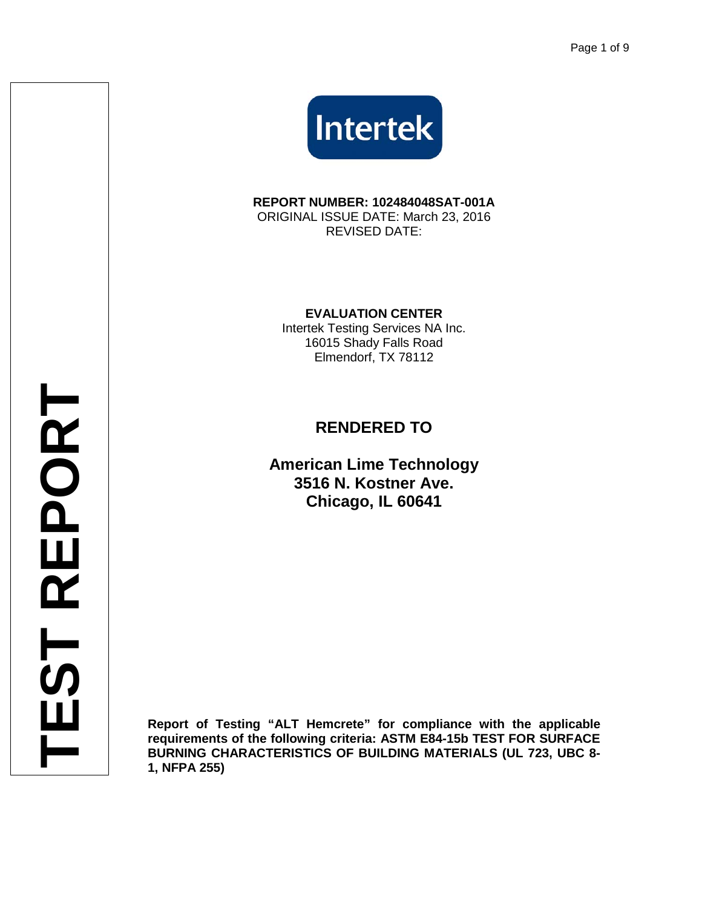

**REPORT NUMBER: 102484048SAT-001A** ORIGINAL ISSUE DATE: March 23, 2016 REVISED DATE:

**EVALUATION CENTER**

Intertek Testing Services NA Inc. 16015 Shady Falls Road Elmendorf, TX 78112

# **RENDERED TO**

**American Lime Technology 3516 N. Kostner Ave. Chicago, IL 60641**

**Report of Testing "ALT Hemcrete" for compliance with the applicable requirements of the following criteria: ASTM E84-15b TEST FOR SURFACE BURNING CHARACTERISTICS OF BUILDING MATERIALS (UL 723, UBC 8- 1, NFPA 255)**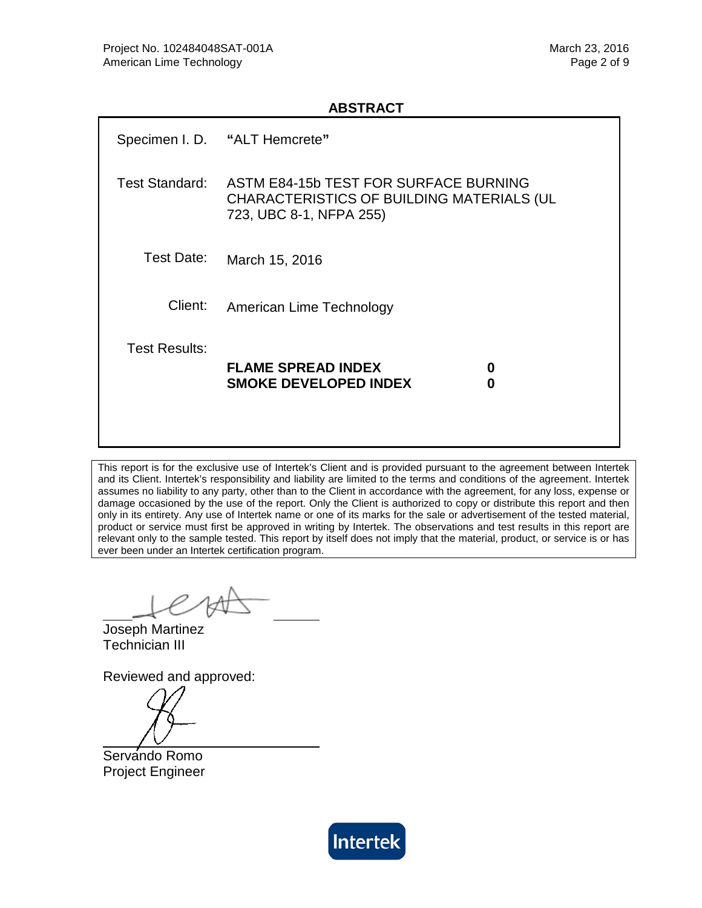#### **ABSTRACT**

|                       | Specimen I.D. "ALT Hemcrete"                                                                                  |  |  |  |  |  |  |
|-----------------------|---------------------------------------------------------------------------------------------------------------|--|--|--|--|--|--|
| <b>Test Standard:</b> | ASTM E84-15b TEST FOR SURFACE BURNING<br>CHARACTERISTICS OF BUILDING MATERIALS (UL<br>723, UBC 8-1, NFPA 255) |  |  |  |  |  |  |
| Test Date:            | March 15, 2016                                                                                                |  |  |  |  |  |  |
| Client:               | American Lime Technology                                                                                      |  |  |  |  |  |  |
| <b>Test Results:</b>  | <b>FLAME SPREAD INDEX</b><br>0<br><b>SMOKE DEVELOPED INDEX</b><br>0                                           |  |  |  |  |  |  |

This report is for the exclusive use of Intertek's Client and is provided pursuant to the agreement between Intertek and its Client. Intertek's responsibility and liability are limited to the terms and conditions of the agreement. Intertek assumes no liability to any party, other than to the Client in accordance with the agreement, for any loss, expense or damage occasioned by the use of the report. Only the Client is authorized to copy or distribute this report and then only in its entirety. Any use of Intertek name or one of its marks for the sale or advertisement of the tested material, product or service must first be approved in writing by Intertek. The observations and test results in this report are relevant only to the sample tested. This report by itself does not imply that the material, product, or service is or has ever been under an Intertek certification program.

Joseph Martinez Technician III

Reviewed and approved:

Servando Romo Project Engineer

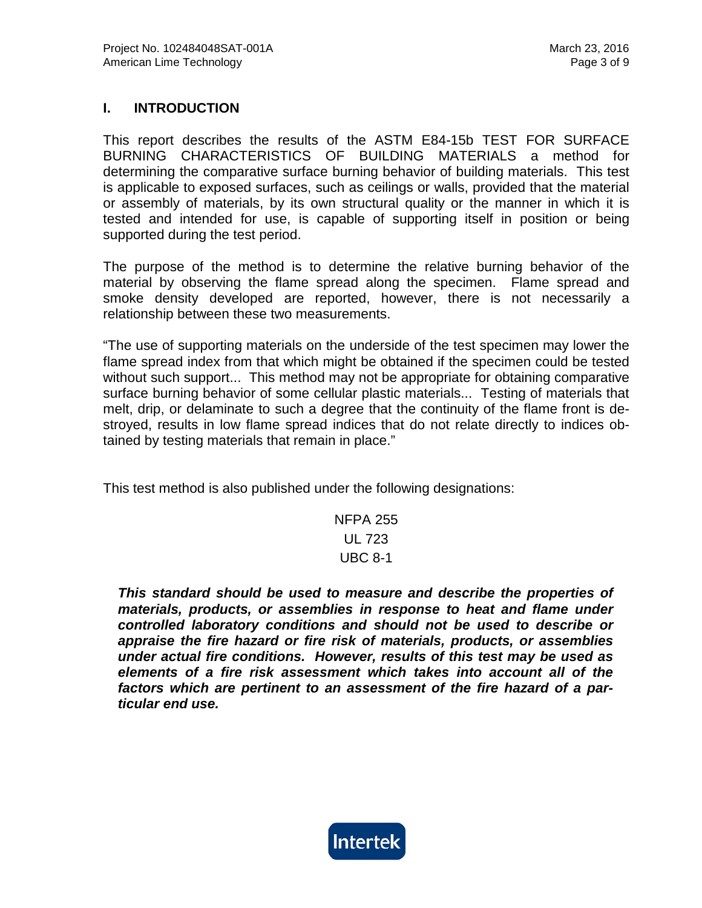## **I. INTRODUCTION**

This report describes the results of the ASTM E84-15b TEST FOR SURFACE BURNING CHARACTERISTICS OF BUILDING MATERIALS a method for determining the comparative surface burning behavior of building materials. This test is applicable to exposed surfaces, such as ceilings or walls, provided that the material or assembly of materials, by its own structural quality or the manner in which it is tested and intended for use, is capable of supporting itself in position or being supported during the test period.

The purpose of the method is to determine the relative burning behavior of the material by observing the flame spread along the specimen. Flame spread and smoke density developed are reported, however, there is not necessarily a relationship between these two measurements.

"The use of supporting materials on the underside of the test specimen may lower the flame spread index from that which might be obtained if the specimen could be tested without such support... This method may not be appropriate for obtaining comparative surface burning behavior of some cellular plastic materials... Testing of materials that melt, drip, or delaminate to such a degree that the continuity of the flame front is destroyed, results in low flame spread indices that do not relate directly to indices obtained by testing materials that remain in place."

This test method is also published under the following designations:

NFPA 255 UL 723 UBC 8-1

*This standard should be used to measure and describe the properties of materials, products, or assemblies in response to heat and flame under controlled laboratory conditions and should not be used to describe or appraise the fire hazard or fire risk of materials, products, or assemblies under actual fire conditions. However, results of this test may be used as elements of a fire risk assessment which takes into account all of the factors which are pertinent to an assessment of the fire hazard of a particular end use.*

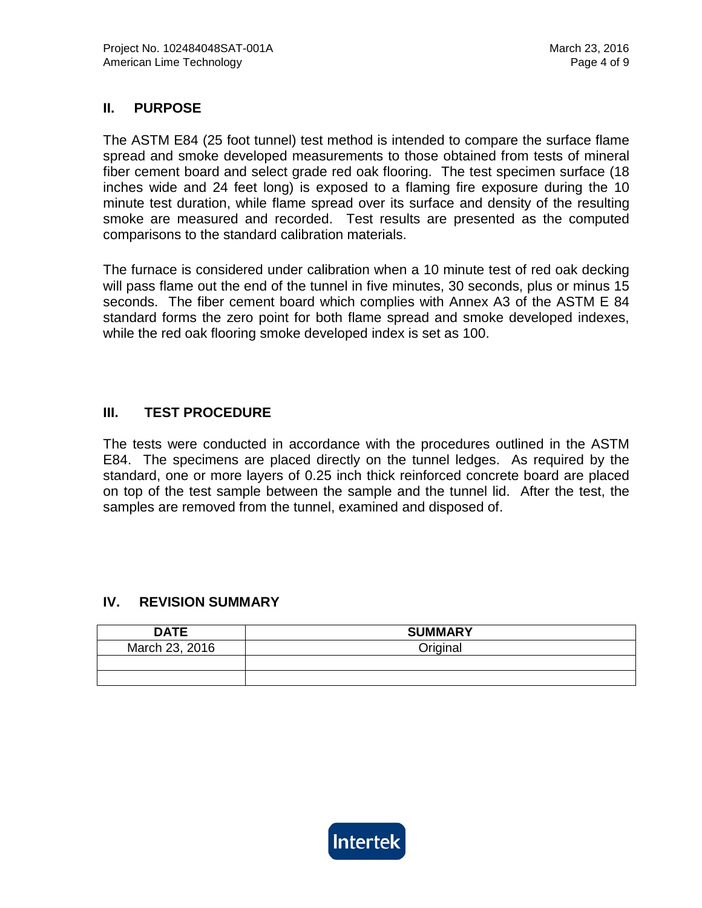## **II. PURPOSE**

The ASTM E84 (25 foot tunnel) test method is intended to compare the surface flame spread and smoke developed measurements to those obtained from tests of mineral fiber cement board and select grade red oak flooring. The test specimen surface (18 inches wide and 24 feet long) is exposed to a flaming fire exposure during the 10 minute test duration, while flame spread over its surface and density of the resulting smoke are measured and recorded. Test results are presented as the computed comparisons to the standard calibration materials.

The furnace is considered under calibration when a 10 minute test of red oak decking will pass flame out the end of the tunnel in five minutes, 30 seconds, plus or minus 15 seconds. The fiber cement board which complies with Annex A3 of the ASTM E 84 standard forms the zero point for both flame spread and smoke developed indexes, while the red oak flooring smoke developed index is set as 100.

#### **III. TEST PROCEDURE**

The tests were conducted in accordance with the procedures outlined in the ASTM E84. The specimens are placed directly on the tunnel ledges. As required by the standard, one or more layers of 0.25 inch thick reinforced concrete board are placed on top of the test sample between the sample and the tunnel lid. After the test, the samples are removed from the tunnel, examined and disposed of.

#### **IV. REVISION SUMMARY**

| <b>DATE</b>    | <b>SUMMARY</b> |
|----------------|----------------|
| March 23, 2016 | Original       |
|                |                |
|                |                |

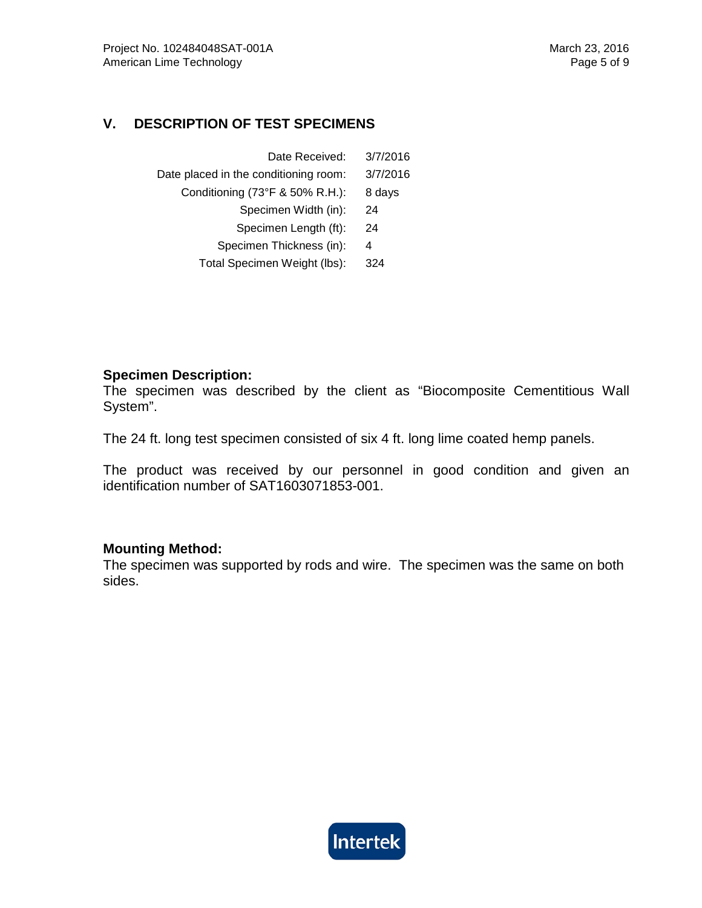## **V. DESCRIPTION OF TEST SPECIMENS**

| Date Received:                        | 3/7/2016 |
|---------------------------------------|----------|
| Date placed in the conditioning room: | 3/7/2016 |
| Conditioning (73°F & 50% R.H.):       | 8 days   |
| Specimen Width (in):                  | 24       |
| Specimen Length (ft):                 | 24       |
| Specimen Thickness (in):              | 4        |
| Total Specimen Weight (lbs):          | 324      |

#### **Specimen Description:**

The specimen was described by the client as "Biocomposite Cementitious Wall System".

The 24 ft. long test specimen consisted of six 4 ft. long lime coated hemp panels.

The product was received by our personnel in good condition and given an identification number of SAT1603071853-001.

#### **Mounting Method:**

The specimen was supported by rods and wire. The specimen was the same on both sides.

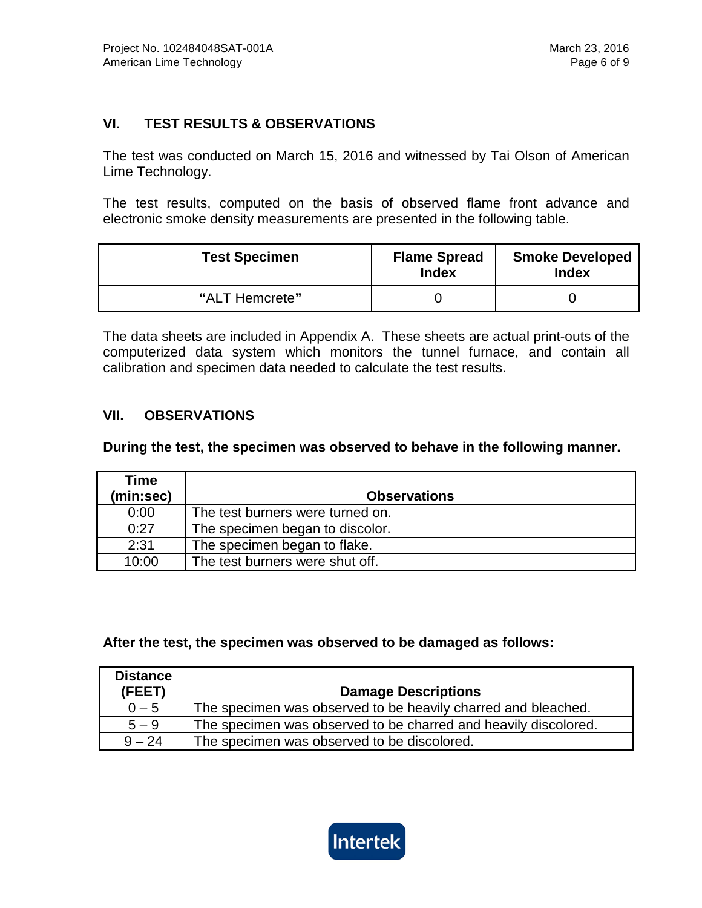## **VI. TEST RESULTS & OBSERVATIONS**

The test was conducted on March 15, 2016 and witnessed by Tai Olson of American Lime Technology.

The test results, computed on the basis of observed flame front advance and electronic smoke density measurements are presented in the following table.

| <b>Test Specimen</b> | <b>Flame Spread</b><br><b>Index</b> | <b>Smoke Developed</b><br><b>Index</b> |
|----------------------|-------------------------------------|----------------------------------------|
| "ALT Hemcrete"       |                                     |                                        |

The data sheets are included in Appendix A. These sheets are actual print-outs of the computerized data system which monitors the tunnel furnace, and contain all calibration and specimen data needed to calculate the test results.

## **VII. OBSERVATIONS**

**During the test, the specimen was observed to behave in the following manner.**

| Time      |                                  |
|-----------|----------------------------------|
| (min:sec) | <b>Observations</b>              |
| 0:00      | The test burners were turned on. |
| 0:27      | The specimen began to discolor.  |
| 2:31      | The specimen began to flake.     |
| 10:00     | The test burners were shut off.  |

#### **After the test, the specimen was observed to be damaged as follows:**

| <b>Distance</b><br>(FEET) | <b>Damage Descriptions</b>                                      |
|---------------------------|-----------------------------------------------------------------|
| $0 - 5$                   | The specimen was observed to be heavily charred and bleached.   |
| $5 - 9$                   | The specimen was observed to be charred and heavily discolored. |
| $9 - 24$                  | The specimen was observed to be discolored.                     |

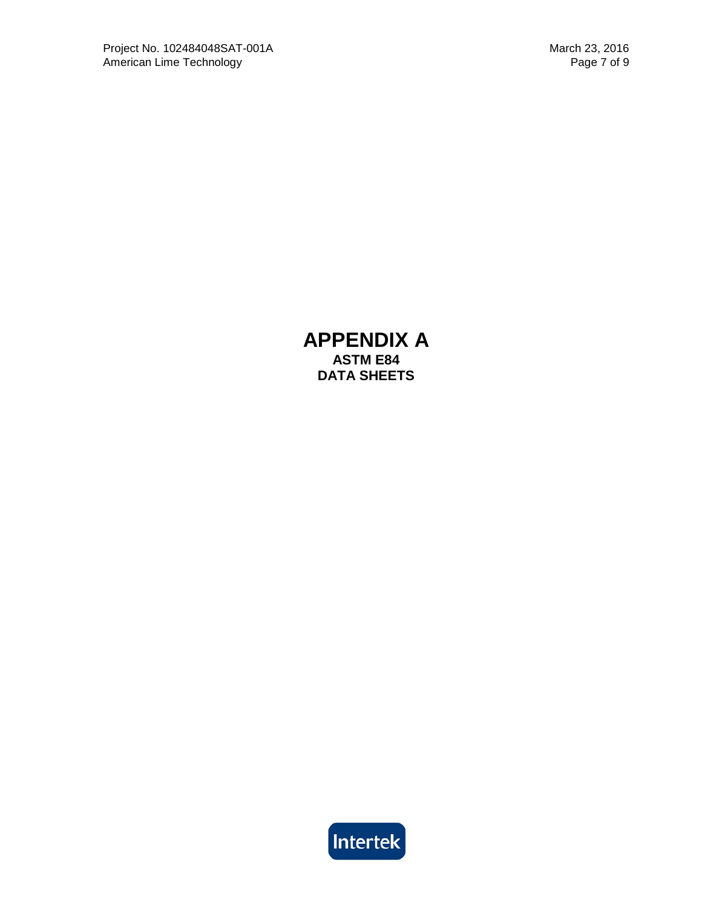## **APPENDIX A ASTM E84 DATA SHEETS**

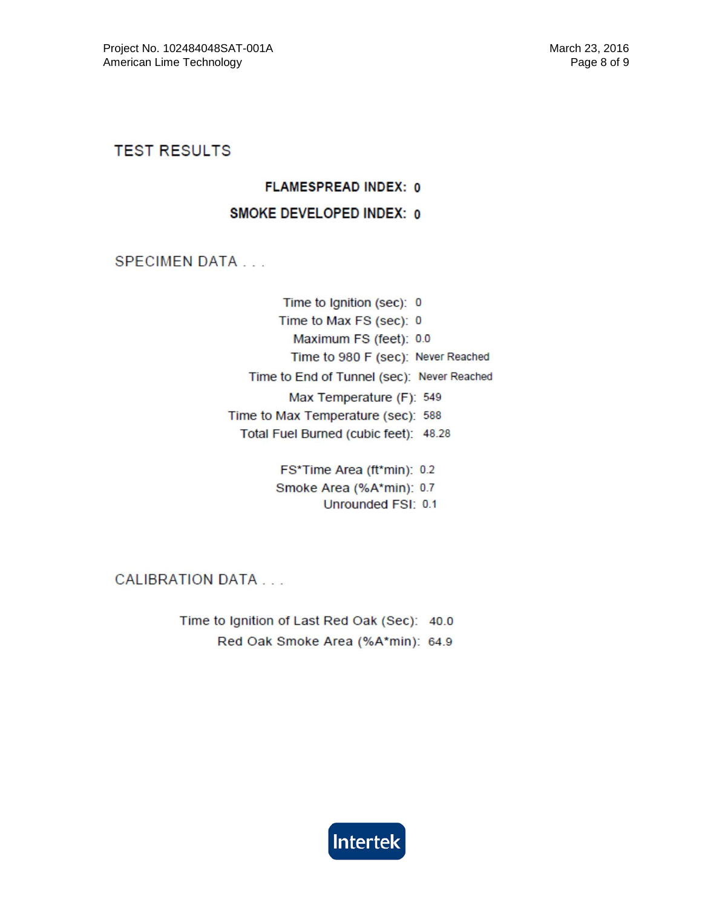**TEST RESULTS** 

#### **FLAMESPREAD INDEX: 0**

#### **SMOKE DEVELOPED INDEX: 0**

**SPECIMEN DATA...** 

Time to Ignition (sec): 0 Time to Max FS (sec): 0 Maximum FS (feet): 0.0 Time to 980 F (sec): Never Reached Time to End of Tunnel (sec): Never Reached Max Temperature (F): 549 Time to Max Temperature (sec): 588 Total Fuel Burned (cubic feet): 48.28

> FS\*Time Area (ft\*min): 0.2 Smoke Area (%A\*min): 0.7 Unrounded FSI: 0.1

**CALIBRATION DATA...** 

Time to Ignition of Last Red Oak (Sec): 40.0 Red Oak Smoke Area (%A\*min): 64.9